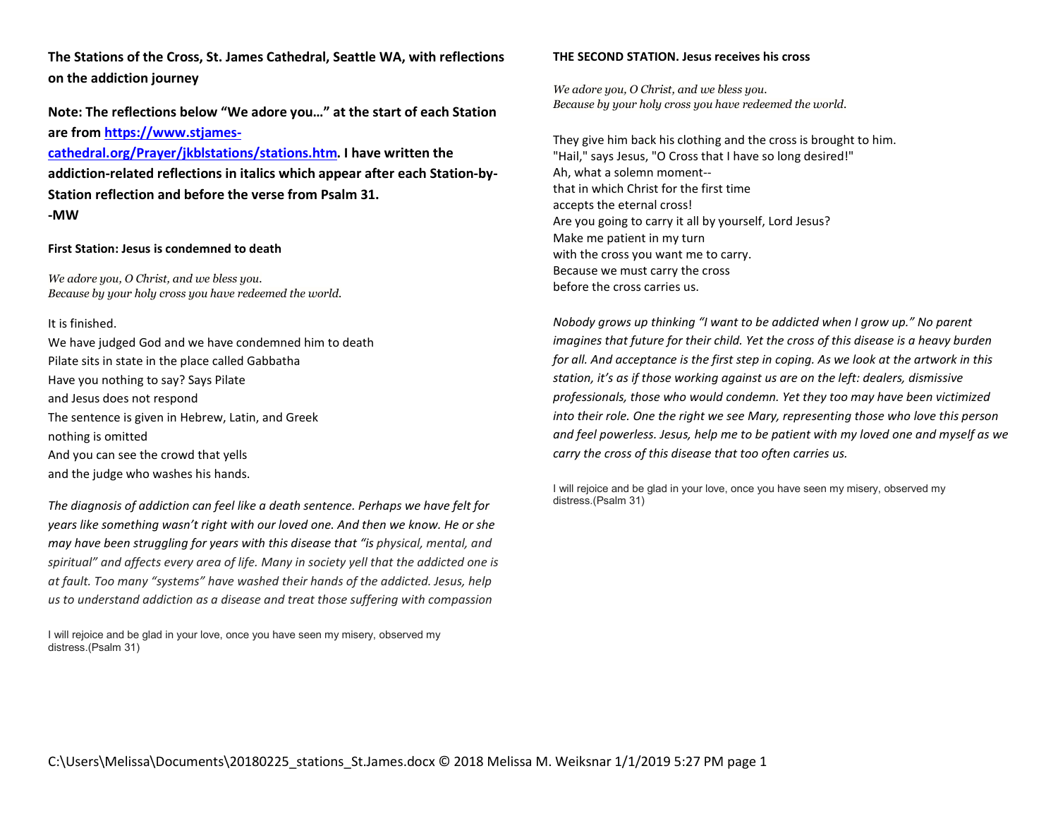The Stations of the Cross, St. James Cathedral, Seattle WA, with reflections on the addiction journey

Note: The reflections below "We adore you…" at the start of each Station are from https://www.stjames-

cathedral.org/Prayer/jkblstations/stations.htm. I have written the addiction-related reflections in italics which appear after each Station-by-Station reflection and before the verse from Psalm 31. -MW

#### First Station: Jesus is condemned to death

We adore you, O Christ, and we bless you. Because by your holy cross you have redeemed the world.

#### It is finished.

We have judged God and we have condemned him to death Pilate sits in state in the place called Gabbatha Have you nothing to say? Says Pilate and Jesus does not respond The sentence is given in Hebrew, Latin, and Greek nothing is omitted And you can see the crowd that yells and the judge who washes his hands.

The diagnosis of addiction can feel like a death sentence. Perhaps we have felt for years like something wasn't right with our loved one. And then we know. He or she may have been struggling for years with this disease that "is physical, mental, and spiritual" and affects every area of life. Many in society yell that the addicted one is at fault. Too many "systems" have washed their hands of the addicted. Jesus, help us to understand addiction as a disease and treat those suffering with compassion

I will rejoice and be glad in your love, once you have seen my misery, observed my distress.(Psalm 31)

#### THE SECOND STATION. Jesus receives his cross

We adore you, O Christ, and we bless you. Because by your holy cross you have redeemed the world.

They give him back his clothing and the cross is brought to him. "Hail," says Jesus, "O Cross that I have so long desired!" Ah, what a solemn moment- that in which Christ for the first time accepts the eternal cross! Are you going to carry it all by yourself, Lord Jesus? Make me patient in my turn with the cross you want me to carry. Because we must carry the cross before the cross carries us.

Nobody grows up thinking "I want to be addicted when I grow up." No parent imagines that future for their child. Yet the cross of this disease is a heavy burden for all. And acceptance is the first step in coping. As we look at the artwork in this station, it's as if those working against us are on the left: dealers, dismissive professionals, those who would condemn. Yet they too may have been victimized into their role. One the right we see Mary, representing those who love this person and feel powerless. Jesus, help me to be patient with my loved one and myself as we carry the cross of this disease that too often carries us.

I will rejoice and be glad in your love, once you have seen my misery, observed my distress.(Psalm 31)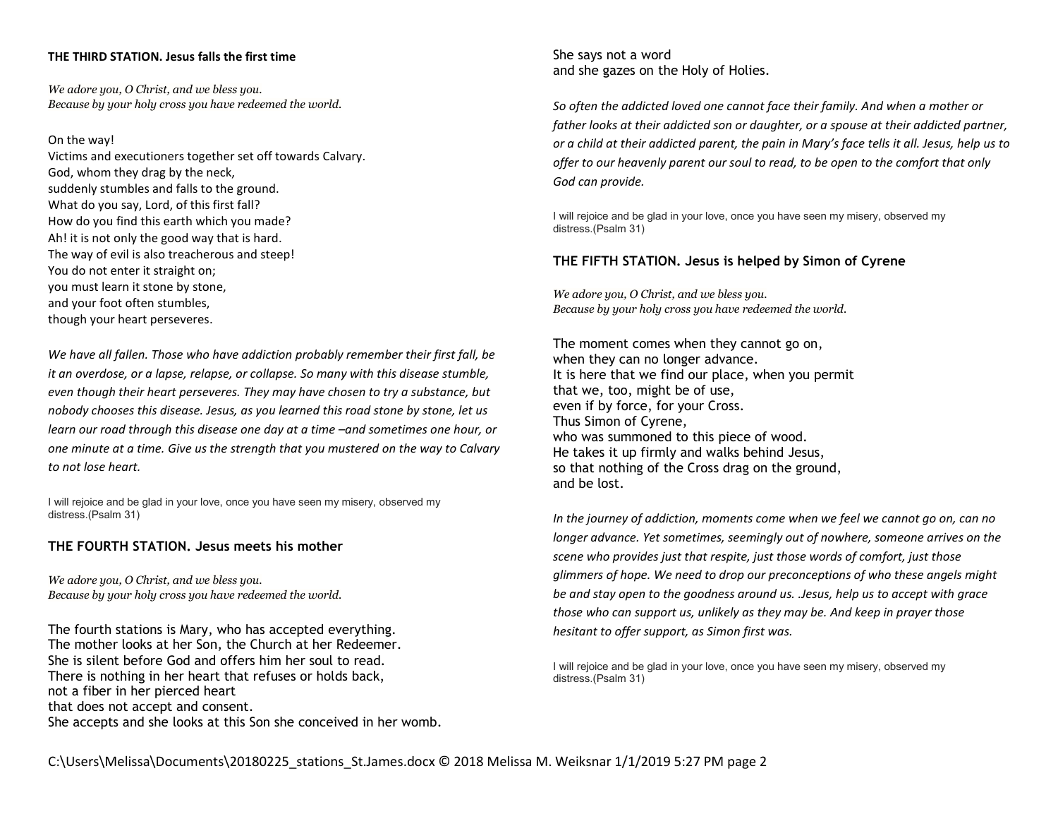#### THE THIRD STATION. Jesus falls the first time

We adore you, O Christ, and we bless you. Because by your holy cross you have redeemed the world.

On the way!

Victims and executioners together set off towards Calvary. God, whom they drag by the neck, suddenly stumbles and falls to the ground. What do you say, Lord, of this first fall? How do you find this earth which you made? Ah! it is not only the good way that is hard. The way of evil is also treacherous and steep! You do not enter it straight on; you must learn it stone by stone, and your foot often stumbles, though your heart perseveres.

We have all fallen. Those who have addiction probably remember their first fall, be it an overdose, or a lapse, relapse, or collapse. So many with this disease stumble, even though their heart perseveres. They may have chosen to try a substance, but nobody chooses this disease. Jesus, as you learned this road stone by stone, let us learn our road through this disease one day at a time –and sometimes one hour, or one minute at a time. Give us the strength that you mustered on the way to Calvary to not lose heart.

I will rejoice and be glad in your love, once you have seen my misery, observed my distress.(Psalm 31)

# THE FOURTH STATION. Jesus meets his mother

We adore you, O Christ, and we bless you. Because by your holy cross you have redeemed the world.

The fourth stations is Mary, who has accepted everything. The mother looks at her Son, the Church at her Redeemer. She is silent before God and offers him her soul to read. There is nothing in her heart that refuses or holds back, not a fiber in her pierced heart that does not accept and consent. She accepts and she looks at this Son she conceived in her womb. She says not a word and she gazes on the Holy of Holies.

So often the addicted loved one cannot face their family. And when a mother or father looks at their addicted son or daughter, or a spouse at their addicted partner, or a child at their addicted parent, the pain in Mary's face tells it all. Jesus, help us to offer to our heavenly parent our soul to read, to be open to the comfort that only God can provide.

I will rejoice and be glad in your love, once you have seen my misery, observed my distress.(Psalm 31)

## THE FIFTH STATION. Jesus is helped by Simon of Cyrene

We adore you, O Christ, and we bless you. Because by your holy cross you have redeemed the world.

The moment comes when they cannot go on, when they can no longer advance. It is here that we find our place, when you permit that we, too, might be of use, even if by force, for your Cross. Thus Simon of Cyrene, who was summoned to this piece of wood. He takes it up firmly and walks behind Jesus, so that nothing of the Cross drag on the ground, and be lost.

In the journey of addiction, moments come when we feel we cannot go on, can no longer advance. Yet sometimes, seemingly out of nowhere, someone arrives on the scene who provides just that respite, just those words of comfort, just those glimmers of hope. We need to drop our preconceptions of who these angels might be and stay open to the goodness around us. .Jesus, help us to accept with grace those who can support us, unlikely as they may be. And keep in prayer those hesitant to offer support, as Simon first was.

I will rejoice and be glad in your love, once you have seen my misery, observed my distress.(Psalm 31)

C:\Users\Melissa\Documents\20180225\_stations\_St.James.docx © 2018 Melissa M. Weiksnar 1/1/2019 5:27 PM page 2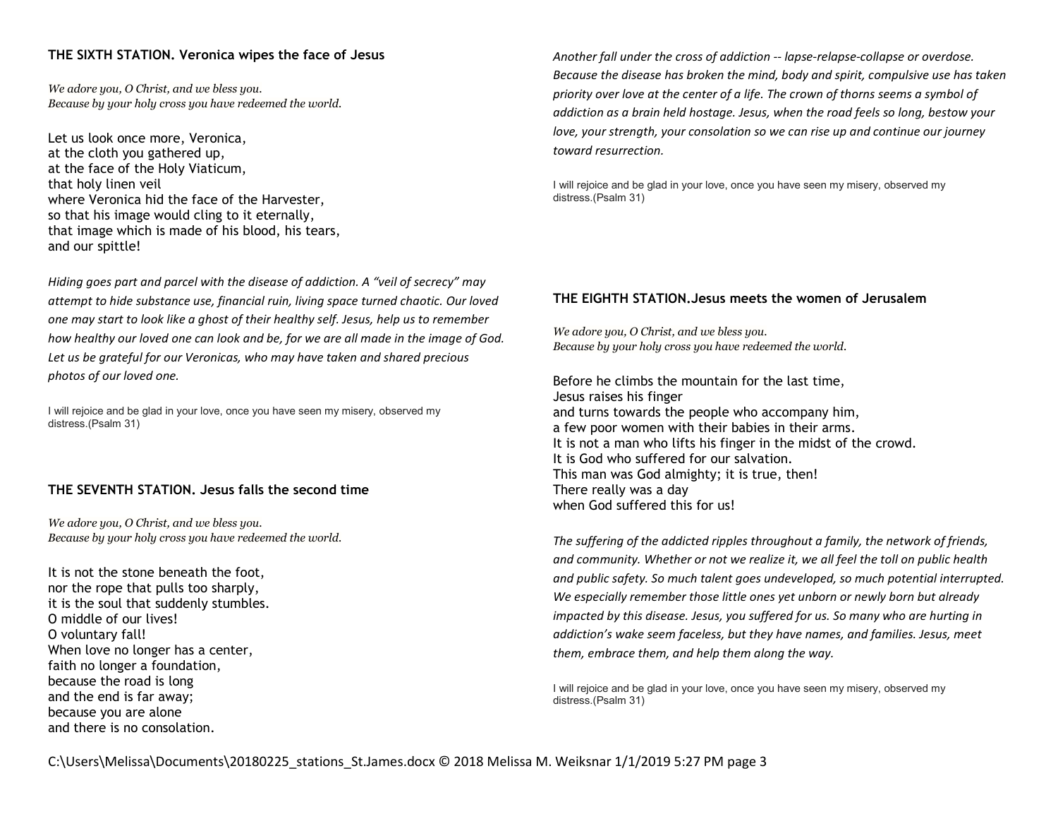# THE SIXTH STATION. Veronica wipes the face of Jesus

We adore you, O Christ, and we bless you. Because by your holy cross you have redeemed the world.

Let us look once more, Veronica, at the cloth you gathered up, at the face of the Holy Viaticum, that holy linen veil where Veronica hid the face of the Harvester, so that his image would cling to it eternally, that image which is made of his blood, his tears, and our spittle!

Hiding goes part and parcel with the disease of addiction. A "veil of secrecy" may attempt to hide substance use, financial ruin, living space turned chaotic. Our loved one may start to look like a ghost of their healthy self. Jesus, help us to remember how healthy our loved one can look and be, for we are all made in the image of God. Let us be grateful for our Veronicas, who may have taken and shared precious photos of our loved one.

I will rejoice and be glad in your love, once you have seen my misery, observed my distress.(Psalm 31)

# THE SEVENTH STATION. Jesus falls the second time

We adore you, O Christ, and we bless you. Because by your holy cross you have redeemed the world.

It is not the stone beneath the foot, nor the rope that pulls too sharply, it is the soul that suddenly stumbles. O middle of our lives! O voluntary fall! When love no longer has a center, faith no longer a foundation, because the road is long and the end is far away; because you are alone and there is no consolation.

Another fall under the cross of addiction -- lapse-relapse-collapse or overdose. Because the disease has broken the mind, body and spirit, compulsive use has taken priority over love at the center of a life. The crown of thorns seems a symbol of addiction as a brain held hostage. Jesus, when the road feels so long, bestow your love, your strength, your consolation so we can rise up and continue our journey toward resurrection.

I will rejoice and be glad in your love, once you have seen my misery, observed my distress.(Psalm 31)

# THE EIGHTH STATION.Jesus meets the women of Jerusalem

We adore you, O Christ, and we bless you. Because by your holy cross you have redeemed the world.

Before he climbs the mountain for the last time, Jesus raises his finger and turns towards the people who accompany him, a few poor women with their babies in their arms. It is not a man who lifts his finger in the midst of the crowd. It is God who suffered for our salvation. This man was God almighty; it is true, then! There really was a day when God suffered this for us!

The suffering of the addicted ripples throughout a family, the network of friends, and community. Whether or not we realize it, we all feel the toll on public health and public safety. So much talent goes undeveloped, so much potential interrupted. We especially remember those little ones yet unborn or newly born but already impacted by this disease. Jesus, you suffered for us. So many who are hurting in addiction's wake seem faceless, but they have names, and families. Jesus, meet them, embrace them, and help them along the way.

I will rejoice and be glad in your love, once you have seen my misery, observed my distress.(Psalm 31)

C:\Users\Melissa\Documents\20180225\_stations\_St.James.docx © 2018 Melissa M. Weiksnar 1/1/2019 5:27 PM page 3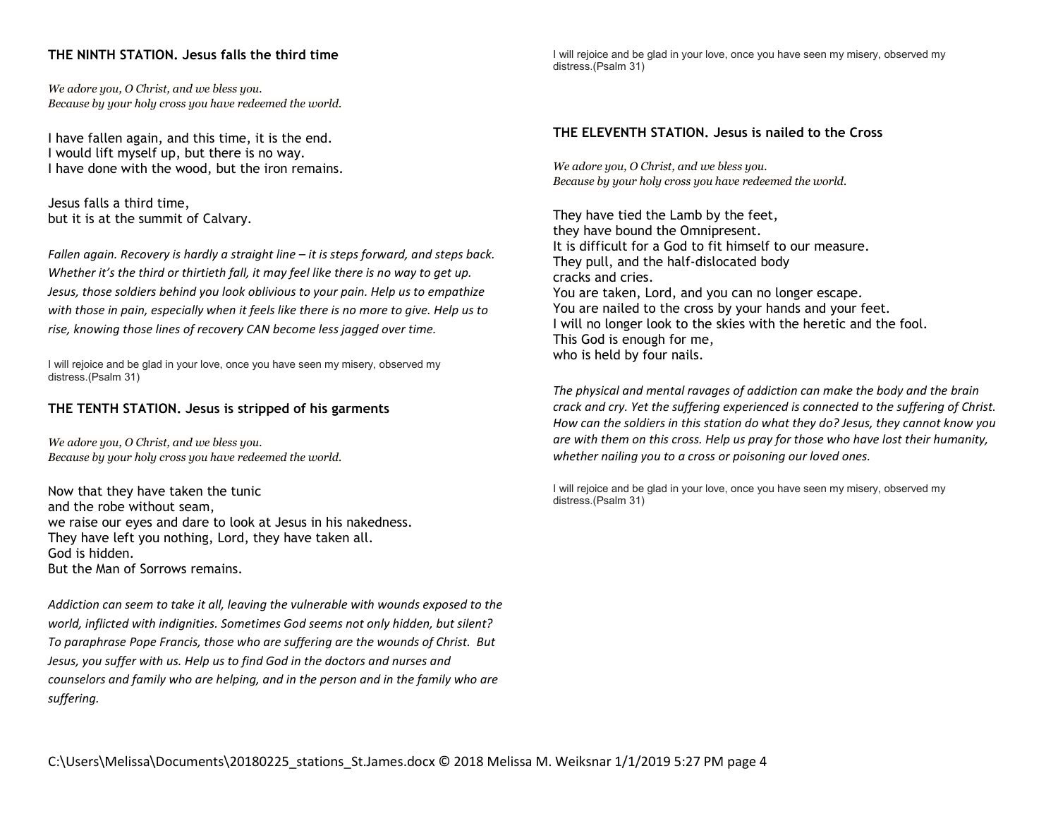# THE NINTH STATION. Jesus falls the third time

We adore you, O Christ, and we bless you. Because by your holy cross you have redeemed the world.

I have fallen again, and this time, it is the end. I would lift myself up, but there is no way. I have done with the wood, but the iron remains.

Jesus falls a third time, but it is at the summit of Calvary.

Fallen again. Recovery is hardly a straight line – it is steps forward, and steps back. Whether it's the third or thirtieth fall, it may feel like there is no way to get up. Jesus, those soldiers behind you look oblivious to your pain. Help us to empathize with those in pain, especially when it feels like there is no more to give. Help us to rise, knowing those lines of recovery CAN become less jagged over time.

I will rejoice and be glad in your love, once you have seen my misery, observed my distress.(Psalm 31)

### THE TENTH STATION. Jesus is stripped of his garments

We adore you, O Christ, and we bless you. Because by your holy cross you have redeemed the world.

Now that they have taken the tunic and the robe without seam, we raise our eyes and dare to look at Jesus in his nakedness. They have left you nothing, Lord, they have taken all. God is hidden. But the Man of Sorrows remains.

Addiction can seem to take it all, leaving the vulnerable with wounds exposed to the world, inflicted with indignities. Sometimes God seems not only hidden, but silent? To paraphrase Pope Francis, those who are suffering are the wounds of Christ. But Jesus, you suffer with us. Help us to find God in the doctors and nurses and counselors and family who are helping, and in the person and in the family who are suffering.

I will rejoice and be glad in your love, once you have seen my misery, observed my distress.(Psalm 31)

#### THE ELEVENTH STATION. Jesus is nailed to the Cross

We adore you, O Christ, and we bless you. Because by your holy cross you have redeemed the world.

They have tied the Lamb by the feet, they have bound the Omnipresent. It is difficult for a God to fit himself to our measure. They pull, and the half-dislocated body cracks and cries. You are taken, Lord, and you can no longer escape. You are nailed to the cross by your hands and your feet. I will no longer look to the skies with the heretic and the fool. This God is enough for me, who is held by four nails.

The physical and mental ravages of addiction can make the body and the brain crack and cry. Yet the suffering experienced is connected to the suffering of Christ. How can the soldiers in this station do what they do? Jesus, they cannot know you are with them on this cross. Help us pray for those who have lost their humanity, whether nailing you to a cross or poisoning our loved ones.

I will rejoice and be glad in your love, once you have seen my misery, observed my distress.(Psalm 31)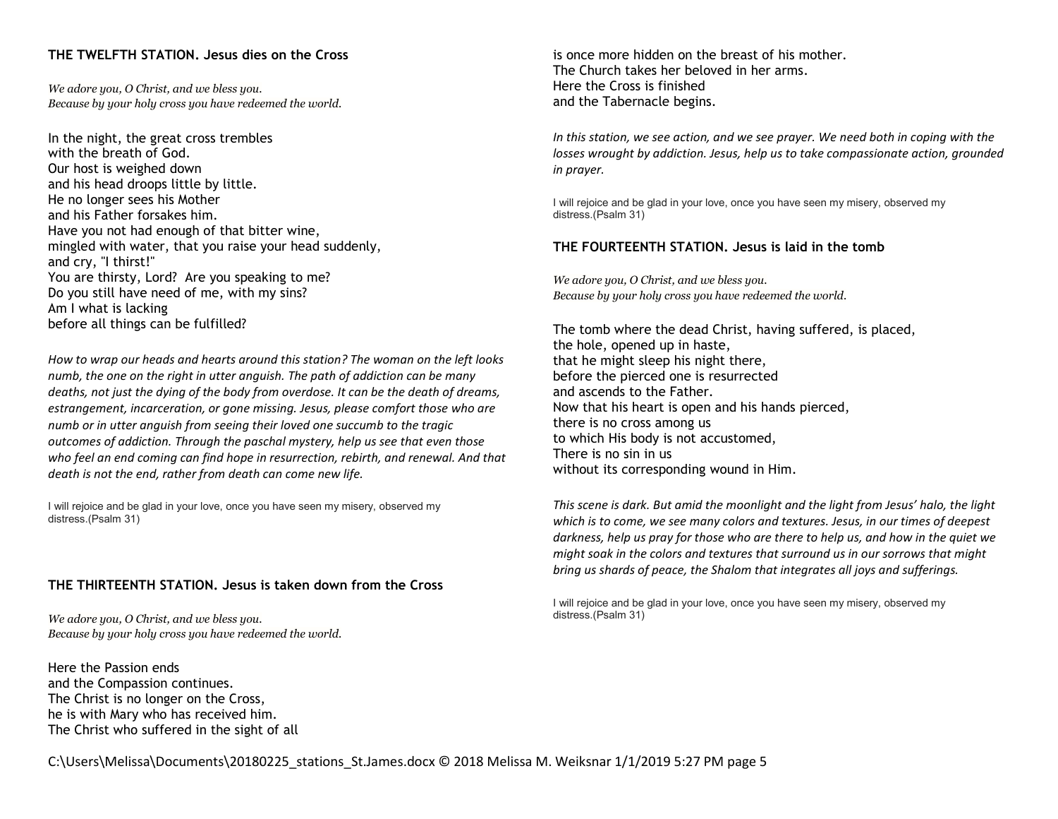# THE TWELFTH STATION. Jesus dies on the Cross

We adore you, O Christ, and we bless you. Because by your holy cross you have redeemed the world.

In the night, the great cross trembles with the breath of God. Our host is weighed down and his head droops little by little. He no longer sees his Mother and his Father forsakes him. Have you not had enough of that bitter wine, mingled with water, that you raise your head suddenly, and cry, "I thirst!" You are thirsty, Lord? Are you speaking to me? Do you still have need of me, with my sins? Am I what is lacking before all things can be fulfilled?

How to wrap our heads and hearts around this station? The woman on the left looks numb, the one on the right in utter anguish. The path of addiction can be many deaths, not just the dying of the body from overdose. It can be the death of dreams, estrangement, incarceration, or gone missing. Jesus, please comfort those who are numb or in utter anguish from seeing their loved one succumb to the tragic outcomes of addiction. Through the paschal mystery, help us see that even those who feel an end coming can find hope in resurrection, rebirth, and renewal. And that death is not the end, rather from death can come new life.

I will rejoice and be glad in your love, once you have seen my misery, observed my distress.(Psalm 31)

### THE THIRTEENTH STATION. Jesus is taken down from the Cross

We adore you, O Christ, and we bless you. Because by your holy cross you have redeemed the world.

Here the Passion ends and the Compassion continues. The Christ is no longer on the Cross, he is with Mary who has received him. The Christ who suffered in the sight of all

is once more hidden on the breast of his mother. The Church takes her beloved in her arms. Here the Cross is finished and the Tabernacle begins.

In this station, we see action, and we see prayer. We need both in coping with the losses wrought by addiction. Jesus, help us to take compassionate action, grounded in prayer.

I will rejoice and be glad in your love, once you have seen my misery, observed my distress.(Psalm 31)

### THE FOURTEENTH STATION. Jesus is laid in the tomb

We adore you, O Christ, and we bless you. Because by your holy cross you have redeemed the world.

The tomb where the dead Christ, having suffered, is placed, the hole, opened up in haste, that he might sleep his night there, before the pierced one is resurrected and ascends to the Father. Now that his heart is open and his hands pierced, there is no cross among us to which His body is not accustomed, There is no sin in us without its corresponding wound in Him.

This scene is dark. But amid the moonlight and the light from Jesus' halo, the light which is to come, we see many colors and textures. Jesus, in our times of deepest darkness, help us pray for those who are there to help us, and how in the quiet we might soak in the colors and textures that surround us in our sorrows that might bring us shards of peace, the Shalom that integrates all joys and sufferings.

I will rejoice and be glad in your love, once you have seen my misery, observed my distress.(Psalm 31)

C:\Users\Melissa\Documents\20180225\_stations\_St.James.docx © 2018 Melissa M. Weiksnar 1/1/2019 5:27 PM page 5